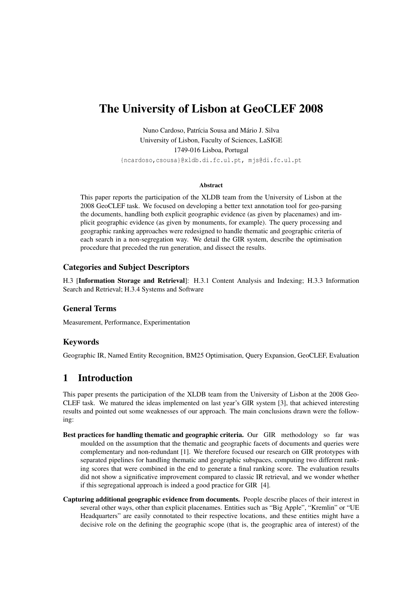# The University of Lisbon at GeoCLEF 2008

Nuno Cardoso, Patrícia Sousa and Mário J. Silva University of Lisbon, Faculty of Sciences, LaSIGE 1749-016 Lisboa, Portugal {ncardoso,csousa}@xldb.di.fc.ul.pt, mjs@di.fc.ul.pt

#### Abstract

This paper reports the participation of the XLDB team from the University of Lisbon at the 2008 GeoCLEF task. We focused on developing a better text annotation tool for geo-parsing the documents, handling both explicit geographic evidence (as given by placenames) and implicit geographic evidence (as given by monuments, for example). The query processing and geographic ranking approaches were redesigned to handle thematic and geographic criteria of each search in a non-segregation way. We detail the GIR system, describe the optimisation procedure that preceded the run generation, and dissect the results.

## Categories and Subject Descriptors

H.3 [Information Storage and Retrieval]: H.3.1 Content Analysis and Indexing; H.3.3 Information Search and Retrieval; H.3.4 Systems and Software

## General Terms

Measurement, Performance, Experimentation

## Keywords

Geographic IR, Named Entity Recognition, BM25 Optimisation, Query Expansion, GeoCLEF, Evaluation

# 1 Introduction

This paper presents the participation of the XLDB team from the University of Lisbon at the 2008 Geo-CLEF task. We matured the ideas implemented on last year's GIR system [3], that achieved interesting results and pointed out some weaknesses of our approach. The main conclusions drawn were the following:

- Best practices for handling thematic and geographic criteria. Our GIR methodology so far was moulded on the assumption that the thematic and geographic facets of documents and queries were complementary and non-redundant [1]. We therefore focused our research on GIR prototypes with separated pipelines for handling thematic and geographic subspaces, computing two different ranking scores that were combined in the end to generate a final ranking score. The evaluation results did not show a significative improvement compared to classic IR retrieval, and we wonder whether if this segregational approach is indeed a good practice for GIR [4].
- Capturing additional geographic evidence from documents. People describe places of their interest in several other ways, other than explicit placenames. Entities such as "Big Apple", "Kremlin" or "UE Headquarters" are easily connotated to their respective locations, and these entities might have a decisive role on the defining the geographic scope (that is, the geographic area of interest) of the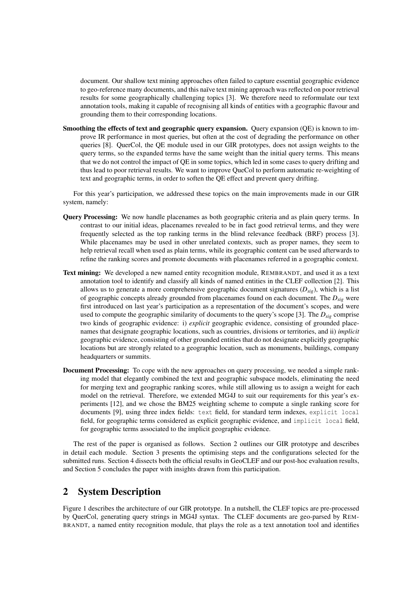document. Our shallow text mining approaches often failed to capture essential geographic evidence to geo-reference many documents, and this naïve text mining approach was reflected on poor retrieval results for some geographically challenging topics [3]. We therefore need to reformulate our text annotation tools, making it capable of recognising all kinds of entities with a geographic flavour and grounding them to their corresponding locations.

Smoothing the effects of text and geographic query expansion. Query expansion (QE) is known to improve IR performance in most queries, but often at the cost of degrading the performance on other queries [8]. QuerCol, the QE module used in our GIR prototypes, does not assign weights to the query terms, so the expanded terms have the same weight than the initial query terms. This means that we do not control the impact of QE in some topics, which led in some cases to query drifting and thus lead to poor retrieval results. We want to improve QueCol to perform automatic re-weighting of text and geographic terms, in order to soften the QE effect and prevent query drifting.

For this year's participation, we addressed these topics on the main improvements made in our GIR system, namely:

- Query Processing: We now handle placenames as both geographic criteria and as plain query terms. In contrast to our initial ideas, placenames revealed to be in fact good retrieval terms, and they were frequently selected as the top ranking terms in the blind relevance feedback (BRF) process [3]. While placenames may be used in other unrelated contexts, such as proper names, they seem to help retrieval recall when used as plain terms, while its geographic content can be used afterwards to refine the ranking scores and promote documents with placenames referred in a geographic context.
- Text mining: We developed a new named entity recognition module, REMBRANDT, and used it as a text annotation tool to identify and classify all kinds of named entities in the CLEF collection [2]. This allows us to generate a more comprehensive geographic document signatures (*Dsig*), which is a list of geographic concepts already grounded from placenames found on each document. The *Dsig* were first introduced on last year's participation as a representation of the document's scopes, and were used to compute the geographic similarity of documents to the query's scope [3]. The *Dsig* comprise two kinds of geographic evidence: i) *explicit* geographic evidence, consisting of grounded placenames that designate geographic locations, such as countries, divisions or territories, and ii) *implicit* geographic evidence, consisting of other grounded entities that do not designate explicitly geographic locations but are strongly related to a geographic location, such as monuments, buildings, company headquarters or summits.
- Document Processing: To cope with the new approaches on query processing, we needed a simple ranking model that elegantly combined the text and geographic subspace models, eliminating the need for merging text and geographic ranking scores, while still allowing us to assign a weight for each model on the retrieval. Therefore, we extended MG4J to suit our requirements for this year's experiments [12], and we chose the BM25 weighting scheme to compute a single ranking score for documents [9], using three index fields: text field, for standard term indexes, explicit local field, for geographic terms considered as explicit geographic evidence, and implicit local field, for geographic terms associated to the implicit geographic evidence.

The rest of the paper is organised as follows. Section 2 outlines our GIR prototype and describes in detail each module. Section 3 presents the optimising steps and the configurations selected for the submitted runs. Section 4 dissects both the official results in GeoCLEF and our post-hoc evaluation results, and Section 5 concludes the paper with insights drawn from this participation.

# 2 System Description

Figure 1 describes the architecture of our GIR prototype. In a nutshell, the CLEF topics are pre-processed by QuerCol, generating query strings in MG4J syntax. The CLEF documents are geo-parsed by REM-BRANDT, a named entity recognition module, that plays the role as a text annotation tool and identifies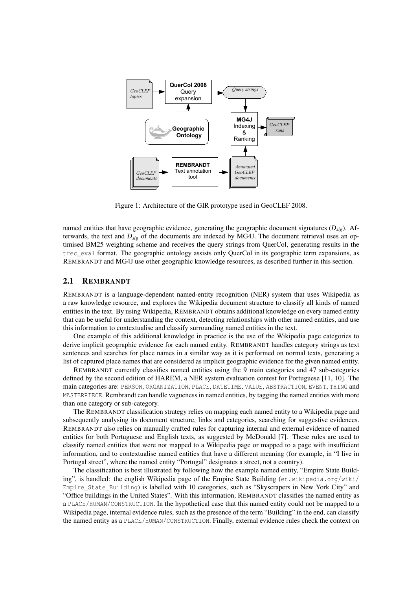

Figure 1: Architecture of the GIR prototype used in GeoCLEF 2008.

named entities that have geographic evidence, generating the geographic document signatures (*Dsig*). Afterwards, the text and *Dsig* of the documents are indexed by MG4J. The document retrieval uses an optimised BM25 weighting scheme and receives the query strings from QuerCol, generating results in the trec\_eval format. The geographic ontology assists only QuerCol in its geographic term expansions, as REMBRANDT and MG4J use other geographic knowledge resources, as described further in this section.

#### 2.1 REMBRANDT

REMBRANDT is a language-dependent named-entity recognition (NER) system that uses Wikipedia as a raw knowledge resource, and explores the Wikipedia document structure to classify all kinds of named entities in the text. By using Wikipedia, REMBRANDT obtains additional knowledge on every named entity that can be useful for understanding the context, detecting relationships with other named entities, and use this information to contextualise and classify surrounding named entities in the text.

One example of this additional knowledge in practice is the use of the Wikipedia page categories to derive implicit geographic evidence for each named entity. REMBRANDT handles category strings as text sentences and searches for place names in a similar way as it is performed on normal texts, generating a list of captured place names that are considered as implicit geographic evidence for the given named entity.

REMBRANDT currently classifies named entities using the 9 main categories and 47 sub-categories defined by the second edition of HAREM, a NER system evaluation contest for Portuguese [11, 10]. The main categories are: PERSON, ORGANIZATION, PLACE, DATETIME, VALUE, ABSTRACTION, EVENT, THING and MASTERPIECE. Rembrandt can handle vagueness in named entities, by tagging the named entities with more than one category or sub-category.

The REMBRANDT classification strategy relies on mapping each named entity to a Wikipedia page and subsequently analysing its document structure, links and categories, searching for suggestive evidences. REMBRANDT also relies on manually crafted rules for capturing internal and external evidence of named entities for both Portuguese and English texts, as suggested by McDonald [7]. These rules are used to classify named entities that were not mapped to a Wikipedia page or mapped to a page with insufficient information, and to contextualise named entities that have a different meaning (for example, in "I live in Portugal street", where the named entity "Portugal" designates a street, not a country).

The classification is best illustrated by following how the example named entity, "Empire State Building", is handled: the english Wikipedia page of the Empire State Building (en.wikipedia.org/wiki/ Empire State Building) is labelled with 10 categories, such as "Skyscrapers in New York City" and "Office buildings in the United States". With this information, REMBRANDT classifies the named entity as a PLACE/HUMAN/CONSTRUCTION. In the hypothetical case that this named entity could not be mapped to a Wikipedia page, internal evidence rules, such as the presence of the term "Building" in the end, can classify the named entity as a PLACE/HUMAN/CONSTRUCTION. Finally, external evidence rules check the context on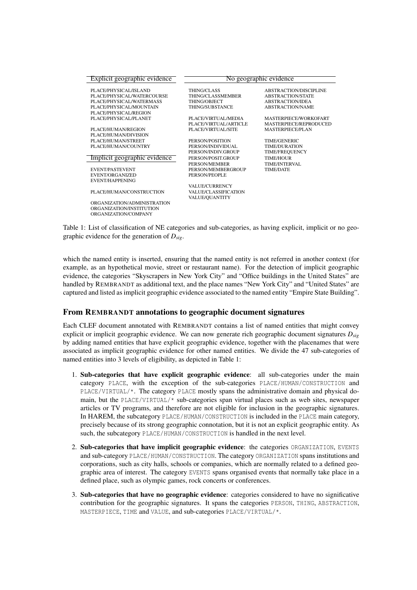| Explicit geographic evidence | No geographic evidence |                          |  |  |  |  |  |  |
|------------------------------|------------------------|--------------------------|--|--|--|--|--|--|
| PLACE/PHYSICAL/ISLAND        | <b>THING/CLASS</b>     | ABSTRACTION/DISCIPLINE   |  |  |  |  |  |  |
| PLACE/PHYSICAL/WATERCOURSE   | THING/CLASSMEMBER      | <b>ABSTRACTION/STATE</b> |  |  |  |  |  |  |
| PLACE/PHYSICAL/WATERMASS     | <b>THING/OBJECT</b>    | <b>ABSTRACTION/IDEA</b>  |  |  |  |  |  |  |
| PLACE/PHYSICAL/MOUNTAIN      | THING/SUBSTANCE        | <b>ABSTRACTION/NAME</b>  |  |  |  |  |  |  |
| PLACE/PHYSICAL/REGION        |                        |                          |  |  |  |  |  |  |
| PLACE/PHYSICAL/PLANET        | PLACE/VIRTUAL/MEDIA    | MASTERPIECE/WORKOFART    |  |  |  |  |  |  |
|                              | PLACE/VIRTUAL/ARTICLE  | MASTERPIECE/REPRODUCED   |  |  |  |  |  |  |
| PLACE/HUMAN/REGION           | PLACE/VIRTUAL/SITE     | <b>MASTERPIECE/PLAN</b>  |  |  |  |  |  |  |
| PLACE/HUMAN/DIVISION         |                        |                          |  |  |  |  |  |  |
| PLACE/HUMAN/STREET           | PERSON/POSITION        | <b>TIME/GENERIC</b>      |  |  |  |  |  |  |
| PLACE/HUMAN/COUNTRY          | PERSON/INDIVIDUAL      | <b>TIME/DURATION</b>     |  |  |  |  |  |  |
|                              | PERSON/INDIV.GROUP     | TIME/FREQUENCY           |  |  |  |  |  |  |
| Implicit geographic evidence | PERSON/POSIT.GROUP     | <b>TIME/HOUR</b>         |  |  |  |  |  |  |
|                              | PERSON/MEMBER          | TIME/INTERVAL            |  |  |  |  |  |  |
| <b>EVENT/PASTEVENT</b>       | PERSON/MEMBERGROUP     | <b>TIME/DATE</b>         |  |  |  |  |  |  |
| EVENT/ORGANIZED              | PERSON/PEOPLE          |                          |  |  |  |  |  |  |
| <b>EVENT/HAPPENING</b>       |                        |                          |  |  |  |  |  |  |
|                              | <b>VALUE/CURRENCY</b>  |                          |  |  |  |  |  |  |
| PLACE/HUMAN/CONSTRUCTION     | VALUE/CLASSIFICATION   |                          |  |  |  |  |  |  |
|                              | VALUE/QUANTITY         |                          |  |  |  |  |  |  |
| ORGANIZATION/ADMINISTRATION  |                        |                          |  |  |  |  |  |  |
| ORGANIZATION/INSTITUTION     |                        |                          |  |  |  |  |  |  |
| ORGANIZATION/COMPANY         |                        |                          |  |  |  |  |  |  |
|                              |                        |                          |  |  |  |  |  |  |

Table 1: List of classification of NE categories and sub-categories, as having explicit, implicit or no geographic evidence for the generation of *Dsig*.

which the named entity is inserted, ensuring that the named entity is not referred in another context (for example, as an hypothetical movie, street or restaurant name). For the detection of implicit geographic evidence, the categories "Skyscrapers in New York City" and "Office buildings in the United States" are handled by REMBRANDT as additional text, and the place names "New York City" and "United States" are captured and listed as implicit geographic evidence associated to the named entity "Empire State Building".

#### From REMBRANDT annotations to geographic document signatures

Each CLEF document annotated with REMBRANDT contains a list of named entities that might convey explicit or implicit geographic evidence. We can now generate rich geographic document signatures *Dsig* by adding named entities that have explicit geographic evidence, together with the placenames that were associated as implicit geographic evidence for other named entities. We divide the 47 sub-categories of named entities into 3 levels of eligibility, as depicted in Table 1:

- 1. Sub-categories that have explicit geographic evidence: all sub-categories under the main category PLACE, with the exception of the sub-categories PLACE/HUMAN/CONSTRUCTION and PLACE/VIRTUAL/\*. The category PLACE mostly spans the administrative domain and physical domain, but the PLACE/VIRTUAL/\* sub-categories span virtual places such as web sites, newspaper articles or TV programs, and therefore are not eligible for inclusion in the geographic signatures. In HAREM, the subcategory PLACE/HUMAN/CONSTRUCTION is included in the PLACE main category, precisely because of its strong geographic connotation, but it is not an explicit geographic entity. As such, the subcategory PLACE/HUMAN/CONSTRUCTION is handled in the next level.
- 2. Sub-categories that have implicit geographic evidence: the categories ORGANIZATION, EVENTS and sub-category PLACE/HUMAN/CONSTRUCTION. The category ORGANIZATION spans institutions and corporations, such as city halls, schools or companies, which are normally related to a defined geographic area of interest. The category EVENTS spans organised events that normally take place in a defined place, such as olympic games, rock concerts or conferences.
- 3. Sub-categories that have no geographic evidence: categories considered to have no significative contribution for the geographic signatures. It spans the categories PERSON, THING, ABSTRACTION, MASTERPIECE, TIME and VALUE, and sub-categories PLACE/VIRTUAL/\*.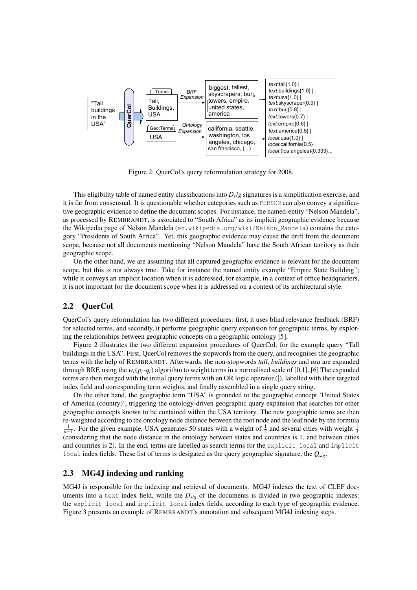

Figure 2: QuerCol's query reformulation strategy for 2008.

This eligibility table of named entity classifications into *D<sup>s</sup> ig* signatures is a simplification exercise, and it is far from consensual. It is questionable whether categories such as PERSON can also convey a significative geographic evidence to define the document scopes. For instance, the named-entity "Nelson Mandela", as processed by REMBRANDT, is associated to "South Africa" as its implicit geographic evidence because the Wikipedia page of Nelson Mandela (en.wikipedia.org/wiki/Nelson Mandela) contains the category "Presidents of South Africa". Yet, this geographic evidence may cause the drift from the document scope, because not all documents mentioning "Nelson Mandela" have the South African territory as their geographic scope.

On the other hand, we are assuming that all captured geographic evidence is relevant for the document scope, but this is not always true. Take for instance the named entity example "Empire State Building"; while it conveys an implicit location when it is addressed, for example, in a context of office headquarters, it is not important for the document scope when it is addressed on a context of its architectural style.

## 2.2 QuerCol

QuerCol's query reformulation has two different procedures: first, it uses blind relevance feedback (BRF) for selected terms, and secondly, it performs geographic query expansion for geographic terms, by exploring the relationships between geographic concepts on a geographic ontology [5].

Figure 2 illustrates the two different expansion procedures of QuerCol, for the example query "Tall buildings in the USA". First, QuerCol removes the stopwords from the query, and recognises the geographic terms with the help of REMBRANDT. Afterwards, the non-stopwords *tall*, *buildings* and *usa* are expanded through BRF, using the  $w_t(p_t - q_t)$  algorithm to weight terms in a normalised scale of [0,1]. [6] The expanded terms are then merged with the initial query terms with an OR logic operator (|), labelled with their targeted index field and corresponding term weights, and finally assembled in a single query string.

On the other hand, the geographic term "USA" is grounded to the geographic concept 'United States of America (country)', triggering the ontology-driven geographic query expansion that searches for other geographic concepts known to be contained within the USA territory. The new geographic terms are then re-weighted according to the ontology node distance between the root node and the leaf node by the formula  $\frac{1}{n-1}$ . For the given example, USA generates 50 states with a weight of  $\frac{1}{2}$  and several cities with weight  $\frac{1}{3}$ (considering that the node distance in the ontology between states and countries is 1, and between cities and countries is 2). In the end, terms are labelled as search terms for the explicit local and implicit local index fields. These list of terms is desigated as the query geographic signature, the *Qsig*.

#### 2.3 MG4J indexing and ranking

MG4J is responsible for the indexing and retrieval of documents. MG4J indexes the text of CLEF documents into a text index field, while the  $D_{\text{si}\rho}$  of the documents is divided in two geographic indexes: the explicit local and implicit local index fields, according to each type of geographic evidence. Figure 3 presents an example of REMBRANDT's annotation and subsequent MG4J indexing steps.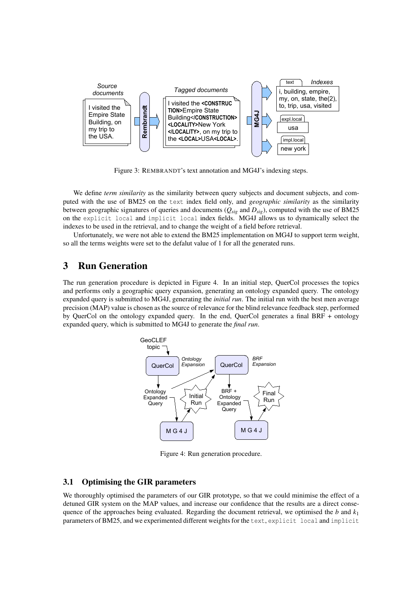

Figure 3: REMBRANDT's text annotation and MG4J's indexing steps.

We define *term similarity* as the similarity between query subjects and document subjects, and computed with the use of BM25 on the text index field only, and *geographic similarity* as the similarity between geographic signatures of queries and documents (*Qsig* and *Dsig*), computed with the use of BM25 on the explicit local and implicit local index fields. MG4J allows us to dynamically select the indexes to be used in the retrieval, and to change the weight of a field before retrieval.

Unfortunately, we were not able to extend the BM25 implementation on MG4J to support term weight, so all the terms weights were set to the defalut value of 1 for all the generated runs.

# 3 Run Generation

The run generation procedure is depicted in Figure 4. In an initial step, QuerCol processes the topics and performs only a geographic query expansion, generating an ontology expanded query. The ontology expanded query is submitted to MG4J, generating the *initial run*. The initial run with the best men average precision (MAP) value is chosen as the source of relevance for the blind relevance feedback step, performed by QuerCol on the ontology expanded query. In the end, QuerCol generates a final BRF + ontology expanded query, which is submitted to MG4J to generate the *final run*.



Figure 4: Run generation procedure.

## 3.1 Optimising the GIR parameters

We thoroughly optimised the parameters of our GIR prototype, so that we could minimise the effect of a detuned GIR system on the MAP values, and increase our confidence that the results are a direct consequence of the approaches being evaluated. Regarding the document retrieval, we optimised the *b* and  $k_1$ parameters of BM25, and we experimented different weights for the text, explicit local and implicit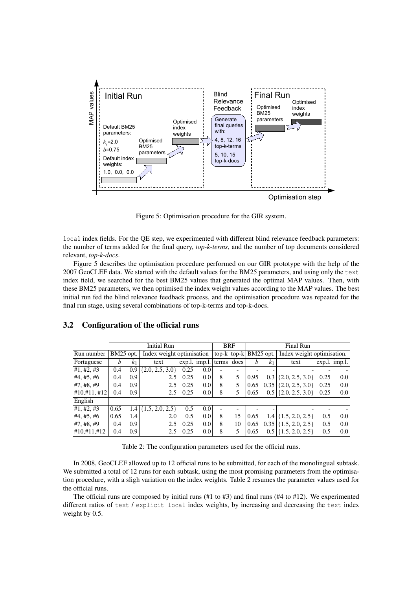

Figure 5: Optimisation procedure for the GIR system.

local index fields. For the QE step, we experimented with different blind relevance feedback parameters: the number of terms added for the final query, *top-k-terms*, and the number of top documents considered relevant, *top-k-docs*.

Figure 5 describes the optimisation procedure performed on our GIR prototype with the help of the 2007 GeoCLEF data. We started with the default values for the BM25 parameters, and using only the text index field, we searched for the best BM25 values that generated the optimal MAP values. Then, with these BM25 parameters, we then optimised the index weight values according to the MAP values. The best initial run fed the blind relevance feedback process, and the optimisation procedure was repeated for the final run stage, using several combinations of top-k-terms and top-k-docs.

|                  |           |                  | Initial Run               |      |                            | <b>BRF</b> |                                    |      |                | Final Run                  |               |     |  |
|------------------|-----------|------------------|---------------------------|------|----------------------------|------------|------------------------------------|------|----------------|----------------------------|---------------|-----|--|
| Run number       | BM25 opt. |                  | Index weight optimisation |      |                            |            | top- $k \text{ top-}k   BM25$ opt. |      |                | Index weight optimisation. |               |     |  |
| Portuguese       | b         | k <sub>1</sub>   | text                      |      | $exp.l.$ imp.l. terms docs |            |                                    | b    | k <sub>1</sub> | text                       | exp.l. imp.l. |     |  |
| #1, #2, #3       | 0.4       | 0.9 <sub>1</sub> | $\{2.0, 2.5, 3.0\}$       | 0.25 | 0.0                        |            |                                    |      |                |                            |               |     |  |
| #4, #5, #6       | 0.4       | 0.9              | 2.5                       | 0.25 | 0.0                        | 8          | 5                                  | 0.95 | 0.3            | $\{2.0, 2.5, 3.0\}$        | 0.25          | 0.0 |  |
| #7, #8, #9       | 0.4       | 0.9              | 2.5                       | 0.25 | $0.0\,$                    | 8          |                                    | 0.65 | 0.35           | $\{2.0, 2.5, 3.0\}$        | 0.25          | 0.0 |  |
| $\#10,\#11,\#12$ | 0.4       | 0.9              | 2.5                       | 0.25 | $0.0\,$                    | 8          | 5                                  | 0.65 | $0.5^{\circ}$  | $\{2.0, 2.5, 3.0\}$        | 0.25          | 0.0 |  |
| English          |           |                  |                           |      |                            |            |                                    |      |                |                            |               |     |  |
| #1, #2, #3       | 0.65      |                  | $1.4$ {1.5, 2.0, 2.5}     | 0.5  | 0.0                        |            |                                    |      |                |                            |               |     |  |
| #4, #5, #6       | 0.65      | 1.4              | 2.0                       | 0.5  | 0.0                        | 8          | 15                                 | 0.65 | 1.4            | $\{1.5, 2.0, 2.5\}$        | 0.5           | 0.0 |  |
| #7, #8, #9       | 0.4       | 0.9              | 2.5                       | 0.25 | 0.0                        | 8          | 10                                 | 0.65 |                | $0.35$ {1.5, 2.0, 2.5}     | 0.5           | 0.0 |  |
| #10, #11, #12    | 0.4       | 0.9              | 2.5                       | 0.25 | 0.0                        | 8          | 5                                  | 0.65 | $0.5^{\circ}$  | $\{1.5, 2.0, 2.5\}$        | 0.5           | 0.0 |  |
|                  |           |                  |                           |      |                            |            |                                    |      |                |                            |               |     |  |

#### 3.2 Configuration of the official runs

Table 2: The configuration parameters used for the official runs.

In 2008, GeoCLEF allowed up to 12 official runs to be submitted, for each of the monolingual subtask. We submitted a total of 12 runs for each subtask, using the most promising parameters from the optimisation procedure, with a sligh variation on the index weights. Table 2 resumes the parameter values used for the official runs.

The official runs are composed by initial runs (#1 to #3) and final runs (#4 to #12). We experimented different ratios of text / explicit local index weights, by increasing and decreasing the text index weight by 0.5.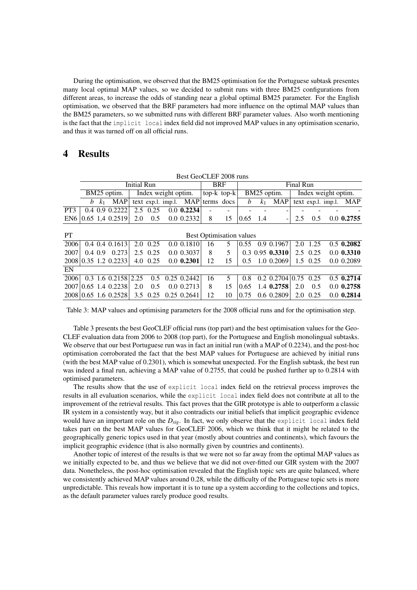During the optimisation, we observed that the BM25 optimisation for the Portuguese subtask presentes many local optimal MAP values, so we decided to submit runs with three BM25 configurations from different areas, to increase the odds of standing near a global optimal BM25 parameter. For the English optimisation, we observed that the BRF parameters had more influence on the optimal MAP values than the BM25 parameters, so we submitted runs with different BRF parameter values. Also worth mentioning is the fact that the implicit local index field did not improved MAP values in any optimisation scenario, and thus it was turned off on all official runs.

## 4 Results

|                                              | Best GeoCLEF 2008 runs |                |                         |                     |          |  |                                   |                   |             |      |                     |                         |     |               |                    |              |
|----------------------------------------------|------------------------|----------------|-------------------------|---------------------|----------|--|-----------------------------------|-------------------|-------------|------|---------------------|-------------------------|-----|---------------|--------------------|--------------|
|                                              | <b>Initial Run</b>     |                |                         |                     |          |  |                                   | <b>BRF</b>        |             |      | Final Run           |                         |     |               |                    |              |
|                                              | BM25 optim.            |                |                         | Index weight optim. |          |  |                                   | top- $k$ top- $k$ | BM25 optim. |      | Index weight optim. |                         |     |               |                    |              |
|                                              | b                      | k <sub>1</sub> | <b>MAP</b>              |                     |          |  | text exp.l. imp.l. MAP terms docs |                   |             | b    | k <sub>1</sub>      | <b>MAP</b>              |     |               | text exp.l. imp.l. | <b>MAP</b>   |
| PT3                                          | $0.4 \, 0.9$           |                | 0.2222                  | 2.5                 | 0.25     |  | $0.0$ 0.2234                      |                   |             |      |                     |                         |     |               |                    |              |
| EN <sub>6</sub>                              |                        |                | $0.65$ 1.4 $0.2519$     | 2.0                 | 0.5      |  | 0.0 0.2332                        | 8                 | 15          | 0.65 | 1.4                 |                         | 2.5 | 0.5           |                    | $0.0$ 0.2755 |
|                                              |                        |                |                         |                     |          |  |                                   |                   |             |      |                     |                         |     |               |                    |              |
| <b>PT</b><br><b>Best Optimisation values</b> |                        |                |                         |                     |          |  |                                   |                   |             |      |                     |                         |     |               |                    |              |
| 2006                                         |                        | 0.4 0.4        | 0.1613                  | 2.0                 | 0.25     |  | $0.0$ 0.1810                      | 16                | 5           | 0.55 | 0.9                 | 0.1967                  | 2.0 | 1.25          |                    | $0.5$ 0.2082 |
| 2007                                         | $0.4 \, 0.9$           |                | 0.273                   | $2.5^{\circ}$       | 0.25     |  | 0.0 0.3037                        | 8                 | 5           |      |                     | $0.3$ 0.95 0.3310       |     | $2.5 \t 0.25$ |                    | $0.0$ 0.3310 |
|                                              |                        |                | 2008 0.35 1.2 0.2233    |                     | 4.0 0.25 |  | $0.0$ 0.2301                      | 12                | 15          | 0.5  |                     | 1.0 0.2069              |     | 1.5 0.25      |                    | 0.0 0.2089   |
| EN                                           |                        |                |                         |                     |          |  |                                   |                   |             |      |                     |                         |     |               |                    |              |
| 2006                                         |                        |                | $0.3$ 1.6 $0.2158$ 2.25 |                     | 0.5      |  | $0.25$ $0.2442$                   | 16                | 5           | 0.8  |                     | $0.2 \, 0.2704 \, 0.75$ |     | 0.25          |                    | $0.5$ 0.2714 |
| 2007                                         |                        |                | $0.65$ 1.4 $0.2238$     | 2.0                 | 0.5      |  | 0.0 0.2713                        | 8                 | 15          | 0.65 |                     | 1.4 0.2758              | 2.0 | 0.5           |                    | $0.0$ 0.2758 |
|                                              |                        |                | 2008 0.65 1.6 0.2528    | 3.5                 | 0.25     |  | $0.25$ $0.2641$                   | 12                | 10          | 0.75 |                     | 0.6 0.2809              | 2.0 | 0.25          |                    | $0.0$ 0.2814 |

Table 3: MAP values and optimising parameters for the 2008 official runs and for the optimisation step.

Table 3 presents the best GeoCLEF official runs (top part) and the best optimisation values for the Geo-CLEF evaluation data from 2006 to 2008 (top part), for the Portuguese and English monolingual subtasks. We observe that our best Portuguese run was in fact an initial run (with a MAP of 0.2234), and the post-hoc optimisation corroborated the fact that the best MAP values for Portuguese are achieved by initial runs (with the best MAP value of 0.2301), which is somewhat unexpected. For the English subtask, the best run was indeed a final run, achieving a MAP value of 0.2755, that could be pushed further up to 0.2814 with optimised parameters.

The results show that the use of explicit local index field on the retrieval process improves the results in all evaluation scenarios, while the explicit local index field does not contribute at all to the improvement of the retrieval results. This fact proves that the GIR prototype is able to outperform a classic IR system in a consistently way, but it also contradicts our initial beliefs that implicit geographic evidence would have an important role on the *Dsig*. In fact, we only observe that the explicit local index field takes part on the best MAP values for GeoCLEF 2006, which we think that it might be related to the geographically generic topics used in that year (mostly about countries and continents), which favours the implicit geographic evidence (that is also normally given by countries and continents).

Another topic of interest of the results is that we were not so far away from the optimal MAP values as we initially expected to be, and thus we believe that we did not over-fitted our GIR system with the 2007 data. Nonetheless, the post-hoc optimisation revealed that the English topic sets are quite balanced, where we consistently achieved MAP values around 0.28, while the difficulty of the Portuguese topic sets is more unpredictable. This reveals how important it is to tune up a system according to the collections and topics, as the default parameter values rarely produce good results.